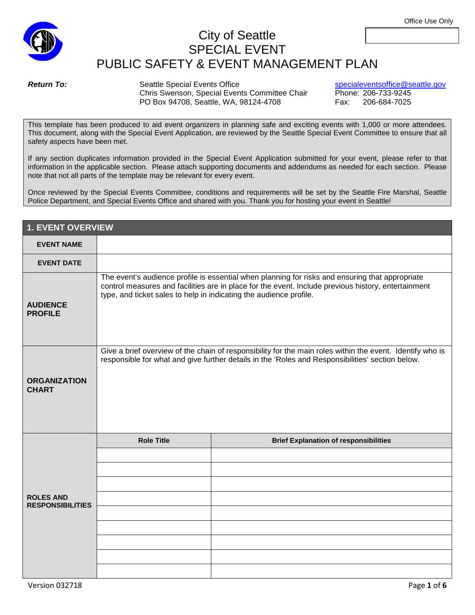

Once reviewed by the Special Events Committee, conditions and requirements will be set by the Seattle Fire Marshal, Seattle Police Department, and Special Events Office and shared with you. Thank you for hosting your event in Seattle!

| <b>1. EVENT OVERVIEW</b>                    |                                                                                                                                                                                                                                                                              |                                              |
|---------------------------------------------|------------------------------------------------------------------------------------------------------------------------------------------------------------------------------------------------------------------------------------------------------------------------------|----------------------------------------------|
| <b>EVENT NAME</b>                           |                                                                                                                                                                                                                                                                              |                                              |
| <b>EVENT DATE</b>                           |                                                                                                                                                                                                                                                                              |                                              |
| <b>AUDIENCE</b><br><b>PROFILE</b>           | The event's audience profile is essential when planning for risks and ensuring that appropriate<br>control measures and facilities are in place for the event. Include previous history, entertainment<br>type, and ticket sales to help in indicating the audience profile. |                                              |
| <b>ORGANIZATION</b><br><b>CHART</b>         | Give a brief overview of the chain of responsibility for the main roles within the event. Identify who is<br>responsible for what and give further details in the 'Roles and Responsibilities' section below.                                                                |                                              |
| <b>ROLES AND</b><br><b>RESPONSIBILITIES</b> | <b>Role Title</b>                                                                                                                                                                                                                                                            | <b>Brief Explanation of responsibilities</b> |
|                                             |                                                                                                                                                                                                                                                                              |                                              |
|                                             |                                                                                                                                                                                                                                                                              |                                              |
|                                             |                                                                                                                                                                                                                                                                              |                                              |
|                                             |                                                                                                                                                                                                                                                                              |                                              |
|                                             |                                                                                                                                                                                                                                                                              |                                              |
|                                             |                                                                                                                                                                                                                                                                              |                                              |
|                                             |                                                                                                                                                                                                                                                                              |                                              |
|                                             |                                                                                                                                                                                                                                                                              |                                              |
|                                             |                                                                                                                                                                                                                                                                              |                                              |



safety aspects have been met.

**Return To:** Seattle Special Events Office special events office of the secter special events office @seattle.gov<br>Chris Swenson, Special Events Committee Chair Phone: 206-733-9245 Chris Swenson, Special Events Committee Chair PO Box 94708, Seattle, WA, 98124-4708 Fax: 206-684-7025

City of Seattle SPECIAL EVENT PUBLIC SAFETY & EVENT MANAGEMENT PLAN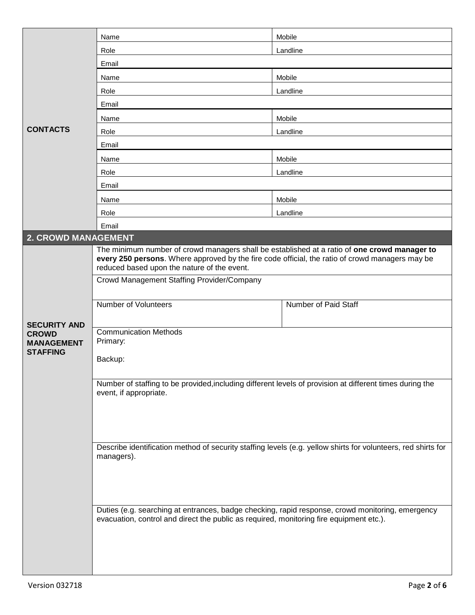|                                                                             | Name                                                                                                                                                                                                                                           | Mobile               |  |
|-----------------------------------------------------------------------------|------------------------------------------------------------------------------------------------------------------------------------------------------------------------------------------------------------------------------------------------|----------------------|--|
|                                                                             | Role                                                                                                                                                                                                                                           | Landline             |  |
|                                                                             | Email                                                                                                                                                                                                                                          |                      |  |
|                                                                             | Name                                                                                                                                                                                                                                           | Mobile               |  |
|                                                                             | Role                                                                                                                                                                                                                                           | Landline             |  |
|                                                                             | Email                                                                                                                                                                                                                                          |                      |  |
|                                                                             | Name                                                                                                                                                                                                                                           | Mobile               |  |
| <b>CONTACTS</b>                                                             | Role                                                                                                                                                                                                                                           | Landline             |  |
|                                                                             | Email                                                                                                                                                                                                                                          |                      |  |
|                                                                             | Name                                                                                                                                                                                                                                           | Mobile               |  |
|                                                                             | Role                                                                                                                                                                                                                                           | Landline             |  |
|                                                                             | Email                                                                                                                                                                                                                                          |                      |  |
|                                                                             | Name                                                                                                                                                                                                                                           | Mobile               |  |
|                                                                             | Role                                                                                                                                                                                                                                           | Landline             |  |
|                                                                             | Email                                                                                                                                                                                                                                          |                      |  |
| <b>2. CROWD MANAGEMENT</b>                                                  |                                                                                                                                                                                                                                                |                      |  |
|                                                                             | The minimum number of crowd managers shall be established at a ratio of one crowd manager to<br>every 250 persons. Where approved by the fire code official, the ratio of crowd managers may be<br>reduced based upon the nature of the event. |                      |  |
|                                                                             | Crowd Management Staffing Provider/Company                                                                                                                                                                                                     |                      |  |
|                                                                             | Number of Volunteers                                                                                                                                                                                                                           | Number of Paid Staff |  |
| <b>SECURITY AND</b><br><b>CROWD</b><br><b>MANAGEMENT</b><br><b>STAFFING</b> | <b>Communication Methods</b><br>Primary:<br>Backup:                                                                                                                                                                                            |                      |  |
|                                                                             | Number of staffing to be provided, including different levels of provision at different times during the<br>event, if appropriate.                                                                                                             |                      |  |
|                                                                             | Describe identification method of security staffing levels (e.g. yellow shirts for volunteers, red shirts for<br>managers).                                                                                                                    |                      |  |
|                                                                             | Duties (e.g. searching at entrances, badge checking, rapid response, crowd monitoring, emergency<br>evacuation, control and direct the public as required, monitoring fire equipment etc.).                                                    |                      |  |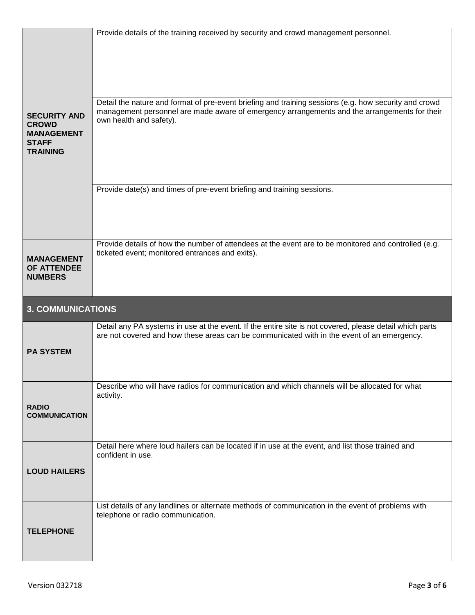|                                                                                             | Provide details of the training received by security and crowd management personnel.                                                                                                                                             |
|---------------------------------------------------------------------------------------------|----------------------------------------------------------------------------------------------------------------------------------------------------------------------------------------------------------------------------------|
| <b>SECURITY AND</b><br><b>CROWD</b><br><b>MANAGEMENT</b><br><b>STAFF</b><br><b>TRAINING</b> | Detail the nature and format of pre-event briefing and training sessions (e.g. how security and crowd<br>management personnel are made aware of emergency arrangements and the arrangements for their<br>own health and safety). |
|                                                                                             | Provide date(s) and times of pre-event briefing and training sessions.                                                                                                                                                           |
|                                                                                             |                                                                                                                                                                                                                                  |
|                                                                                             | Provide details of how the number of attendees at the event are to be monitored and controlled (e.g.                                                                                                                             |
| <b>MANAGEMENT</b><br>OF ATTENDEE<br><b>NUMBERS</b>                                          | ticketed event; monitored entrances and exits).                                                                                                                                                                                  |
| <b>3. COMMUNICATIONS</b>                                                                    |                                                                                                                                                                                                                                  |
| <b>PA SYSTEM</b>                                                                            | Detail any PA systems in use at the event. If the entire site is not covered, please detail which parts<br>are not covered and how these areas can be communicated with in the event of an emergency.                            |
|                                                                                             | Describe who will have radios for communication and which channels will be allocated for what                                                                                                                                    |
| <b>RADIO</b><br><b>COMMUNICATION</b>                                                        | activity.                                                                                                                                                                                                                        |
|                                                                                             |                                                                                                                                                                                                                                  |
|                                                                                             | Detail here where loud hailers can be located if in use at the event, and list those trained and                                                                                                                                 |
|                                                                                             | confident in use.                                                                                                                                                                                                                |
| <b>LOUD HAILERS</b>                                                                         |                                                                                                                                                                                                                                  |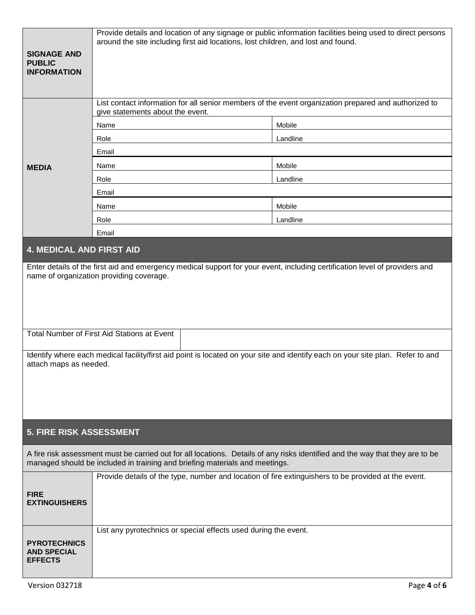| <b>SIGNAGE AND</b><br><b>PUBLIC</b><br><b>INFORMATION</b>                                                                                                                                                                                                                                                                                                                          | Provide details and location of any signage or public information facilities being used to direct persons<br>around the site including first aid locations, lost children, and lost and found.               |          |  |
|------------------------------------------------------------------------------------------------------------------------------------------------------------------------------------------------------------------------------------------------------------------------------------------------------------------------------------------------------------------------------------|--------------------------------------------------------------------------------------------------------------------------------------------------------------------------------------------------------------|----------|--|
|                                                                                                                                                                                                                                                                                                                                                                                    | List contact information for all senior members of the event organization prepared and authorized to<br>give statements about the event.                                                                     |          |  |
|                                                                                                                                                                                                                                                                                                                                                                                    | Name                                                                                                                                                                                                         | Mobile   |  |
|                                                                                                                                                                                                                                                                                                                                                                                    | Role                                                                                                                                                                                                         | Landline |  |
|                                                                                                                                                                                                                                                                                                                                                                                    | Email                                                                                                                                                                                                        |          |  |
| <b>MEDIA</b>                                                                                                                                                                                                                                                                                                                                                                       | Name                                                                                                                                                                                                         | Mobile   |  |
|                                                                                                                                                                                                                                                                                                                                                                                    | Role                                                                                                                                                                                                         | Landline |  |
|                                                                                                                                                                                                                                                                                                                                                                                    | Email                                                                                                                                                                                                        |          |  |
|                                                                                                                                                                                                                                                                                                                                                                                    | Name                                                                                                                                                                                                         | Mobile   |  |
|                                                                                                                                                                                                                                                                                                                                                                                    | Role                                                                                                                                                                                                         | Landline |  |
|                                                                                                                                                                                                                                                                                                                                                                                    | Email                                                                                                                                                                                                        |          |  |
| <b>4. MEDICAL AND FIRST AID</b>                                                                                                                                                                                                                                                                                                                                                    |                                                                                                                                                                                                              |          |  |
| Enter details of the first aid and emergency medical support for your event, including certification level of providers and<br>name of organization providing coverage.<br>Total Number of First Aid Stations at Event<br>Identify where each medical facility/first aid point is located on your site and identify each on your site plan. Refer to and<br>attach maps as needed. |                                                                                                                                                                                                              |          |  |
| <b>5. FIRE RISK ASSESSMENT</b>                                                                                                                                                                                                                                                                                                                                                     |                                                                                                                                                                                                              |          |  |
|                                                                                                                                                                                                                                                                                                                                                                                    | A fire risk assessment must be carried out for all locations. Details of any risks identified and the way that they are to be<br>managed should be included in training and briefing materials and meetings. |          |  |
| <b>FIRE</b><br><b>EXTINGUISHERS</b>                                                                                                                                                                                                                                                                                                                                                | Provide details of the type, number and location of fire extinguishers to be provided at the event.                                                                                                          |          |  |
| <b>PYROTECHNICS</b><br><b>AND SPECIAL</b><br><b>EFFECTS</b>                                                                                                                                                                                                                                                                                                                        | List any pyrotechnics or special effects used during the event.                                                                                                                                              |          |  |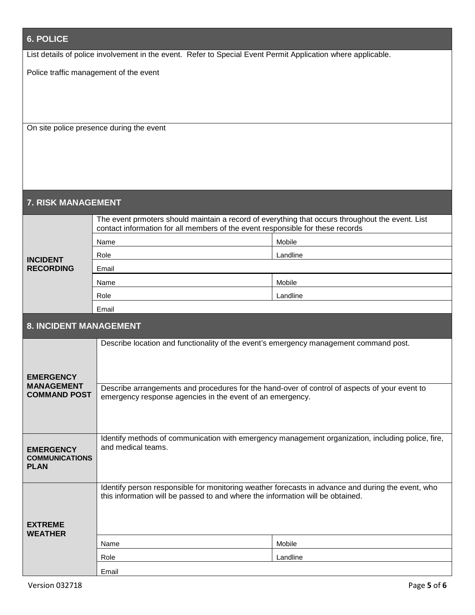| <b>6. POLICE</b>                                                                                             |                                                                                                                                                                                     |          |  |  |
|--------------------------------------------------------------------------------------------------------------|-------------------------------------------------------------------------------------------------------------------------------------------------------------------------------------|----------|--|--|
| List details of police involvement in the event. Refer to Special Event Permit Application where applicable. |                                                                                                                                                                                     |          |  |  |
| Police traffic management of the event                                                                       |                                                                                                                                                                                     |          |  |  |
| On site police presence during the event                                                                     |                                                                                                                                                                                     |          |  |  |
| <b>7. RISK MANAGEMENT</b>                                                                                    |                                                                                                                                                                                     |          |  |  |
|                                                                                                              | The event prmoters should maintain a record of everything that occurs throughout the event. List<br>contact information for all members of the event responsible for these records  |          |  |  |
|                                                                                                              | Name                                                                                                                                                                                | Mobile   |  |  |
| <b>INCIDENT</b>                                                                                              | Role                                                                                                                                                                                | Landline |  |  |
| <b>RECORDING</b>                                                                                             | Email                                                                                                                                                                               |          |  |  |
|                                                                                                              | Name                                                                                                                                                                                | Mobile   |  |  |
|                                                                                                              | Role                                                                                                                                                                                | Landline |  |  |
|                                                                                                              | Email                                                                                                                                                                               |          |  |  |
| <b>8. INCIDENT MANAGEMENT</b>                                                                                |                                                                                                                                                                                     |          |  |  |
| <b>EMERGENCY</b>                                                                                             | Describe location and functionality of the event's emergency management command post.                                                                                               |          |  |  |
| <b>MANAGEMENT</b><br><b>COMMAND POST</b>                                                                     | Describe arrangements and procedures for the hand-over of control of aspects of your event to<br>emergency response agencies in the event of an emergency.                          |          |  |  |
| <b>EMERGENCY</b><br><b>COMMUNICATIONS</b><br><b>PLAN</b>                                                     | Identify methods of communication with emergency management organization, including police, fire,<br>and medical teams.                                                             |          |  |  |
| <b>EXTREME</b><br><b>WEATHER</b>                                                                             | Identify person responsible for monitoring weather forecasts in advance and during the event, who<br>this information will be passed to and where the information will be obtained. |          |  |  |
|                                                                                                              | Name                                                                                                                                                                                | Mobile   |  |  |
|                                                                                                              | Role                                                                                                                                                                                | Landline |  |  |
|                                                                                                              | Email                                                                                                                                                                               |          |  |  |